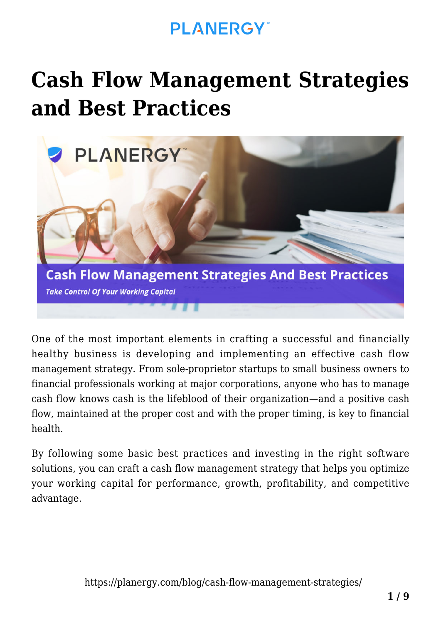# **[Cash Flow Management Strategies](https://planergy.com/blog/cash-flow-management-strategies/) [and Best Practices](https://planergy.com/blog/cash-flow-management-strategies/)**



One of the most important elements in crafting a successful and financially healthy business is developing and implementing an effective cash flow management strategy. From sole-proprietor startups to small business owners to financial professionals working at major corporations, anyone who has to manage cash flow knows cash is the lifeblood of their organization—and a positive cash flow, maintained at the proper cost and with the proper timing, is key to financial health.

By following some basic best practices and investing in the right software solutions, you can craft a cash flow management strategy that helps you optimize your working capital for performance, growth, profitability, and competitive advantage.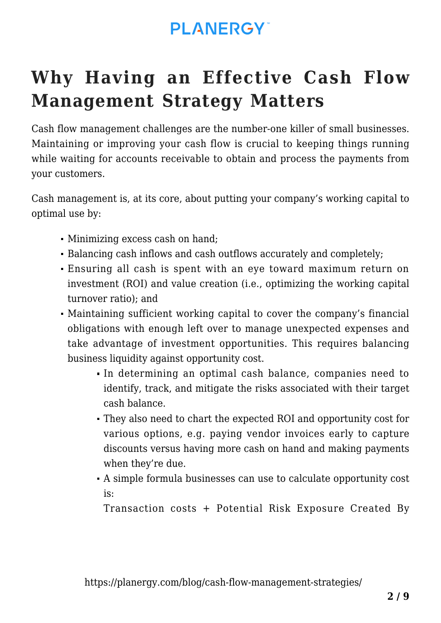# **Why Having an Effective Cash Flow Management Strategy Matters**

Cash flow management challenges are the [number-one killer of small businesses.](https://www.score.org/blog/1-reason-small-businesses-fail-and-how-avoid-it) Maintaining or improving your cash flow is crucial to keeping things running while waiting for accounts receivable to obtain and process the payments from your customers.

Cash management is, at its core, about putting your company's working capital to optimal use by:

- Minimizing excess cash on hand;
- Balancing cash inflows and cash outflows accurately and completely;
- Ensuring all cash is spent with an eye toward maximum return on investment (ROI) and value creation (i.e., optimizing the [working capital](https://planergy.com/blog/working-capital-turnover-ratio/) [turnover ratio\)](https://planergy.com/blog/working-capital-turnover-ratio/); and
- Maintaining sufficient working capital to cover the company's financial obligations with enough left over to manage unexpected expenses and take advantage of investment opportunities. This requires balancing [business liquidity](https://planergy.com/blog/business-liquidity/) against opportunity cost.
	- In determining an optimal cash balance, companies need to identify, track, and mitigate the risks associated with their target cash balance.
	- They also need to chart the expected ROI and opportunity cost for various options, e.g. paying vendor invoices early to capture discounts versus having more cash on hand and making payments when they're due.
	- A simple formula businesses can use to calculate opportunity cost is:

Transaction costs + Potential Risk Exposure Created By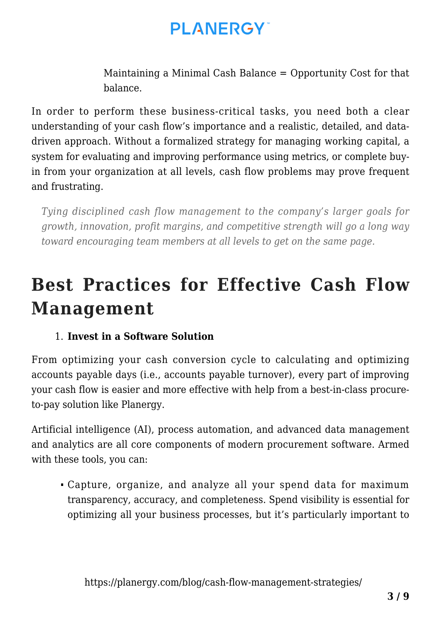Maintaining a Minimal Cash Balance = Opportunity Cost for that balance.

In order to perform these business-critical tasks, you need both a clear understanding of your cash flow's importance and a realistic, detailed, and datadriven approach. Without a formalized strategy for managing working capital, a system for evaluating and improving performance using metrics, or complete buyin from your organization at all levels, [cash flow problems](https://planergy.com/blog/cash-flow-risk/) may prove frequent and frustrating.

*Tying disciplined cash flow management to the company's larger goals for growth, innovation, profit margins, and competitive strength will go a long way toward encouraging team members at all levels to get on the same page.*

## **Best Practices for Effective Cash Flow Management**

#### 1. **Invest in a Software Solution**

From optimizing your [cash conversion cycle](https://planergy.com/blog/cash-conversion-cycle-formula/) to calculating and [optimizing](https://planergy.com/blog/accounts-payable-days/) [accounts payable days](https://planergy.com/blog/accounts-payable-days/) (i.e., accounts payable turnover), every part of improving your cash flow is easier and more effective with help from a best-in-class procureto-pay solution like Planergy.

Artificial intelligence (AI), process automation, and advanced data management and analytics are all core components of modern procurement software. Armed with these tools, you can:

Capture, organize, and analyze all your spend data for maximum transparency, accuracy, and completeness. [Spend visibility](https://planergy.com/blog/spend-visibility/) is essential for optimizing all your business processes, but it's particularly important to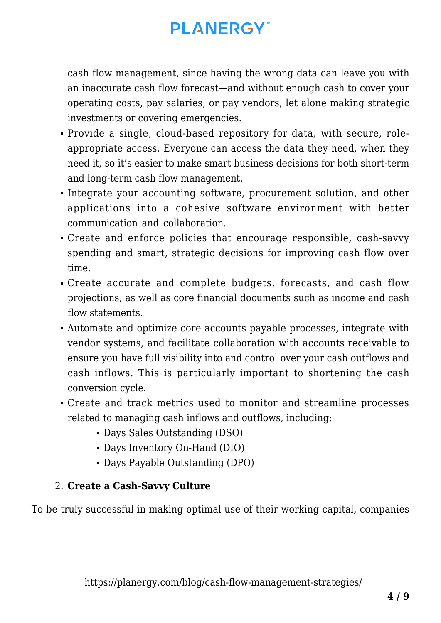cash flow management, since having the wrong data can leave you with an inaccurate cash flow forecast—and without enough cash to cover your operating costs, pay salaries, or pay vendors, let alone making strategic investments or covering emergencies.

- Provide a single, cloud-based repository for data, with secure, roleappropriate access. Everyone can access the data they need, when they need it, so it's easier to make smart business decisions for both short-term and long-term cash flow management.
- Integrate your accounting software, procurement solution, and other applications into a cohesive software environment with better communication and collaboration.
- Create and enforce policies that encourage responsible, cash-savvy spending and smart, strategic decisions for [improving cash flow over](https://planergy.com/blog/how-to-improve-cash-flow/) [time.](https://planergy.com/blog/how-to-improve-cash-flow/)
- Create accurate and complete budgets, forecasts, and cash flow projections, as well as core financial documents such as income and cash flow statements.
- Automate and optimize core accounts payable processes, integrate with vendor systems, and facilitate collaboration with accounts receivable to ensure you have full visibility into and control over your cash outflows and cash inflows. This is particularly important to shortening the cash conversion cycle.
- Create and track metrics used to monitor and streamline processes related to managing cash inflows and outflows, including:
	- Days Sales Outstanding (DSO)
	- Days Inventory On-Hand (DIO)
	- [Days Payable Outstanding](https://planergy.com/blog/calculate-dpo/) (DPO)

#### 2. **Create a Cash-Savvy Culture**

To be truly successful in making optimal use of their working capital, companies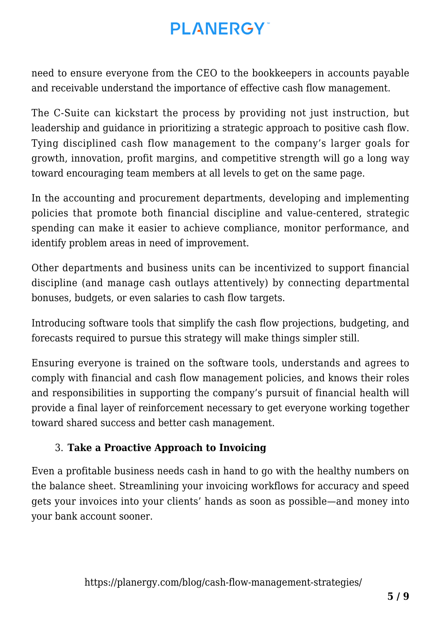need to ensure everyone from the CEO to the bookkeepers in accounts payable and receivable understand the importance of effective cash flow management.

The C-Suite can kickstart the process by providing not just instruction, but leadership and guidance in prioritizing a strategic approach to positive cash flow. Tying disciplined cash flow management to the company's larger goals for growth, innovation, profit margins, and competitive strength will go a long way toward encouraging team members at all levels to get on the same page.

In the accounting and procurement departments, developing and implementing policies that promote both financial discipline and value-centered, strategic spending can make it easier to achieve compliance, monitor performance, and identify problem areas in need of improvement.

Other departments and business units can be incentivized to support financial discipline (and manage cash outlays attentively) by connecting departmental bonuses, budgets, or even salaries to [cash flow targets](https://www.mckinsey.com/business-functions/strategy-and-corporate-finance/our-insights/moving-from-cash-preservation-to-cash-excellence-for-the-next-normal).

Introducing software tools that simplify the cash flow projections, budgeting, and forecasts required to pursue this strategy will make things simpler still.

Ensuring everyone is trained on the software tools, understands and agrees to comply with financial and cash flow management policies, and knows their roles and responsibilities in supporting the company's pursuit of financial health will provide a final layer of reinforcement necessary to get everyone working together toward shared success and better cash management.

#### 3. **Take a Proactive Approach to Invoicing**

Even a profitable business needs cash in hand to go with the healthy numbers on the balance sheet. Streamlining your invoicing workflows for accuracy and speed gets your invoices into your clients' hands as soon as possible—and money into your bank account sooner.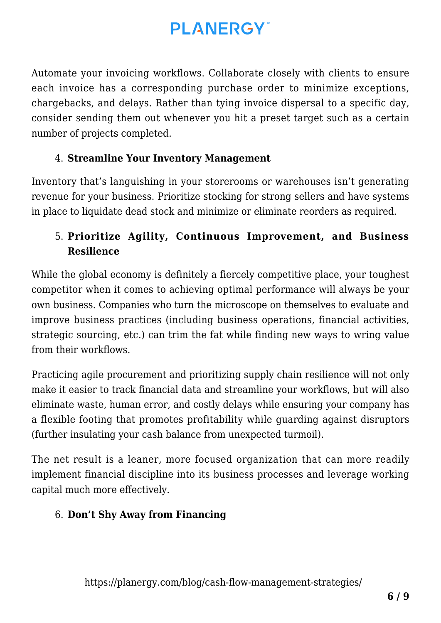Automate your invoicing workflows. Collaborate closely with clients to ensure each invoice has a corresponding purchase order to minimize exceptions, chargebacks, and delays. Rather than tying invoice dispersal to a specific day, consider sending them out whenever you hit a preset target such as a certain number of projects completed.

#### 4. **Streamline Your [Inventory Management](https://planergy.com/blog/inventory-management-process-flow/)**

Inventory that's languishing in your storerooms or warehouses isn't generating revenue for your business. Prioritize stocking for strong sellers and have systems in place to liquidate dead stock and minimize or eliminate reorders as required.

#### 5. **Prioritize Agility, Continuous Improvement, and Business Resilience**

While the global economy is definitely a fiercely competitive place, your toughest competitor when it comes to achieving optimal performance will always be your own business. Companies who turn the microscope on themselves to evaluate and improve business practices (including business operations, financial activities, strategic sourcing, etc.) can trim the fat while finding new ways to wring value from their workflows.

Practicing [agile procurement](https://planergy.com/blog/what-is-spend-management/) and prioritizing [supply chain resilience](https://planergy.com/blog/supply-chain-resilience/) will not only make it easier to track financial data and streamline your workflows, but will also eliminate waste, human error, and costly delays while ensuring your company has a flexible footing that promotes profitability while guarding against disruptors (further insulating your cash balance from unexpected turmoil).

The net result is a leaner, more focused organization that can more readily implement financial discipline into its business processes and leverage working capital much more effectively.

#### 6. **Don't Shy Away from Financing**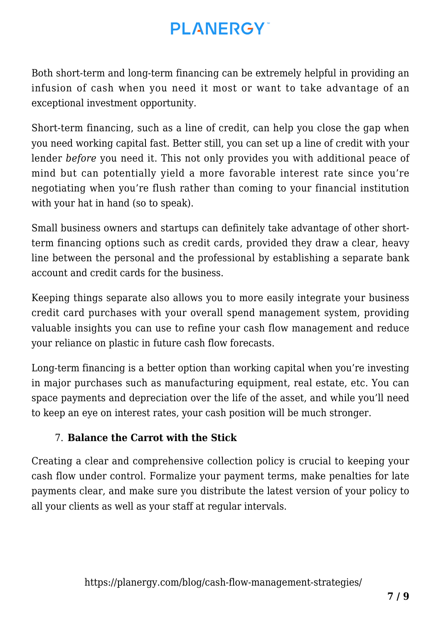Both short-term and long-term financing can be extremely helpful in providing an infusion of cash when you need it most or want to take advantage of an exceptional investment opportunity.

Short-term financing, such as a line of credit, can help you close the gap when you need working capital fast. Better still, you can set up a line of credit with your lender *before* you need it. This not only provides you with additional peace of mind but can potentially yield a more favorable interest rate since you're negotiating when you're flush rather than coming to your financial institution with your hat in hand (so to speak).

Small business owners and startups can definitely take advantage of other shortterm financing options such as credit cards, provided they draw a clear, heavy line between the personal and the professional by establishing a separate bank account and credit cards for the business.

Keeping things separate also allows you to more easily integrate your business credit card purchases with your overall spend management system, providing valuable insights you can use to refine your cash flow management and reduce your reliance on plastic in future cash flow forecasts.

Long-term financing is a better option than working capital when you're investing in major purchases such as manufacturing equipment, real estate, etc. You can space payments and depreciation over the life of the asset, and while you'll need to keep an eye on interest rates, your cash position will be much stronger.

#### 7. **Balance the Carrot with the Stick**

Creating a clear and comprehensive collection policy is crucial to keeping your cash flow under control. Formalize your payment terms, make penalties for late payments clear, and make sure you distribute the latest version of your policy to all your clients as well as your staff at regular intervals.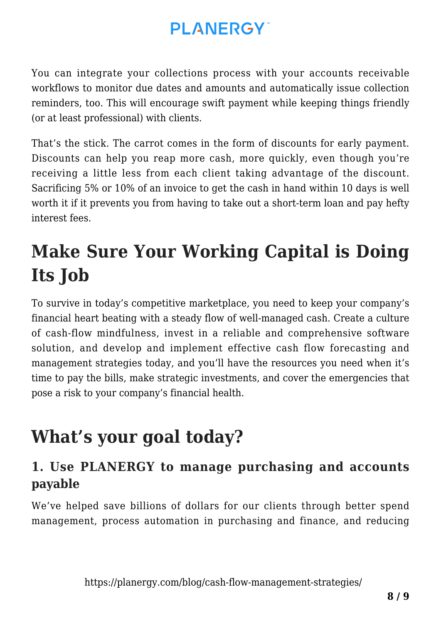You can integrate your collections process with your accounts receivable workflows to monitor due dates and amounts and automatically issue collection reminders, too. This will encourage swift payment while keeping things friendly (or at least professional) with clients.

That's the stick. The carrot comes in the form of discounts for early payment. Discounts can help you reap more cash, more quickly, even though you're receiving a little less from each client taking advantage of the discount. Sacrificing 5% or 10% of an invoice to get the cash in hand within 10 days is well worth it if it prevents you from having to take out a short-term loan and pay hefty interest fees.

# **Make Sure Your Working Capital is Doing Its Job**

To survive in today's competitive marketplace, you need to keep your company's financial heart beating with a steady flow of well-managed cash. Create a culture of cash-flow mindfulness, invest in a reliable and comprehensive software solution, and develop and implement effective cash flow forecasting and management strategies today, and you'll have the resources you need when it's time to pay the bills, make strategic investments, and cover the emergencies that pose a risk to your company's financial health.

# **What's your goal today?**

### **1. Use PLANERGY to manage purchasing and accounts payable**

We've helped save billions of dollars for our clients through better spend management, process automation in purchasing and finance, and reducing